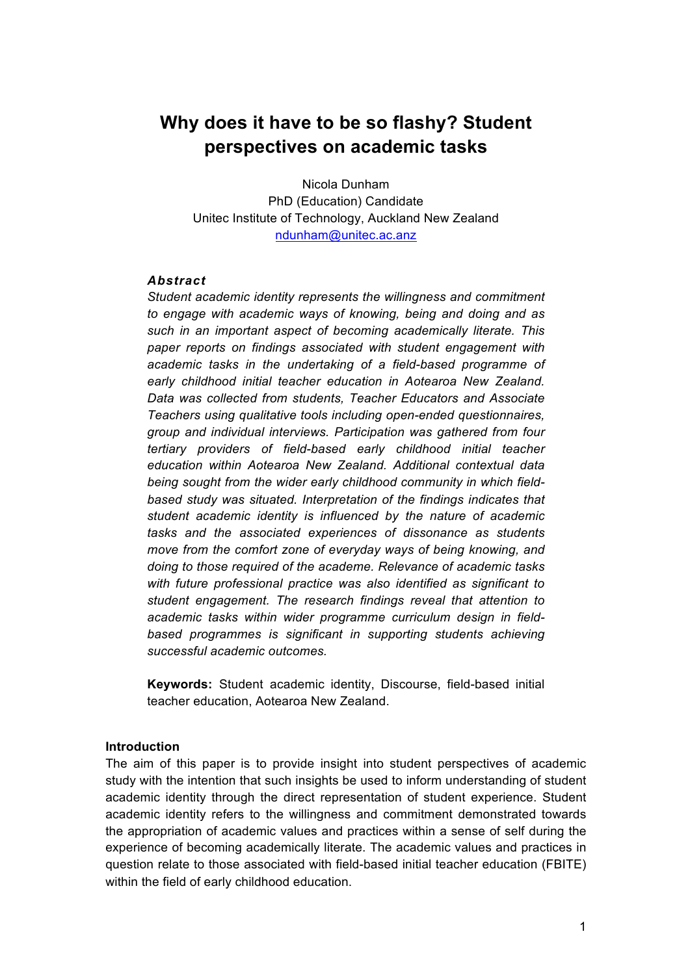# **Why does it have to be so flashy? Student perspectives on academic tasks**

Nicola Dunham PhD (Education) Candidate Unitec Institute of Technology, Auckland New Zealand ndunham@unitec.ac.anz

# *Abstract*

*Student academic identity represents the willingness and commitment to engage with academic ways of knowing, being and doing and as such in an important aspect of becoming academically literate. This paper reports on findings associated with student engagement with academic tasks in the undertaking of a field-based programme of early childhood initial teacher education in Aotearoa New Zealand. Data was collected from students, Teacher Educators and Associate Teachers using qualitative tools including open-ended questionnaires, group and individual interviews. Participation was gathered from four tertiary providers of field-based early childhood initial teacher education within Aotearoa New Zealand. Additional contextual data being sought from the wider early childhood community in which fieldbased study was situated. Interpretation of the findings indicates that student academic identity is influenced by the nature of academic tasks and the associated experiences of dissonance as students move from the comfort zone of everyday ways of being knowing, and doing to those required of the academe. Relevance of academic tasks with future professional practice was also identified as significant to student engagement. The research findings reveal that attention to academic tasks within wider programme curriculum design in fieldbased programmes is significant in supporting students achieving successful academic outcomes.* 

**Keywords:** Student academic identity, Discourse, field-based initial teacher education, Aotearoa New Zealand.

# **Introduction**

The aim of this paper is to provide insight into student perspectives of academic study with the intention that such insights be used to inform understanding of student academic identity through the direct representation of student experience. Student academic identity refers to the willingness and commitment demonstrated towards the appropriation of academic values and practices within a sense of self during the experience of becoming academically literate. The academic values and practices in question relate to those associated with field-based initial teacher education (FBITE) within the field of early childhood education.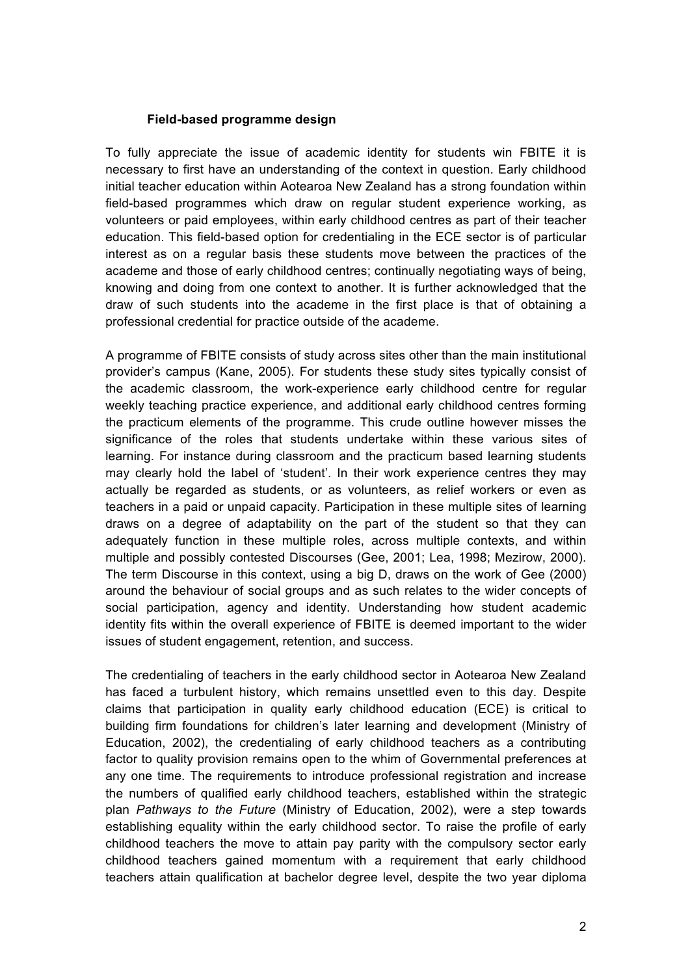#### **Field-based programme design**

To fully appreciate the issue of academic identity for students win FBITE it is necessary to first have an understanding of the context in question. Early childhood initial teacher education within Aotearoa New Zealand has a strong foundation within field-based programmes which draw on regular student experience working, as volunteers or paid employees, within early childhood centres as part of their teacher education. This field-based option for credentialing in the ECE sector is of particular interest as on a regular basis these students move between the practices of the academe and those of early childhood centres; continually negotiating ways of being, knowing and doing from one context to another. It is further acknowledged that the draw of such students into the academe in the first place is that of obtaining a professional credential for practice outside of the academe.

A programme of FBITE consists of study across sites other than the main institutional provider's campus (Kane, 2005). For students these study sites typically consist of the academic classroom, the work-experience early childhood centre for regular weekly teaching practice experience, and additional early childhood centres forming the practicum elements of the programme. This crude outline however misses the significance of the roles that students undertake within these various sites of learning. For instance during classroom and the practicum based learning students may clearly hold the label of 'student'. In their work experience centres they may actually be regarded as students, or as volunteers, as relief workers or even as teachers in a paid or unpaid capacity. Participation in these multiple sites of learning draws on a degree of adaptability on the part of the student so that they can adequately function in these multiple roles, across multiple contexts, and within multiple and possibly contested Discourses (Gee, 2001; Lea, 1998; Mezirow, 2000). The term Discourse in this context, using a big D, draws on the work of Gee (2000) around the behaviour of social groups and as such relates to the wider concepts of social participation, agency and identity. Understanding how student academic identity fits within the overall experience of FBITE is deemed important to the wider issues of student engagement, retention, and success.

The credentialing of teachers in the early childhood sector in Aotearoa New Zealand has faced a turbulent history, which remains unsettled even to this day. Despite claims that participation in quality early childhood education (ECE) is critical to building firm foundations for children's later learning and development (Ministry of Education, 2002), the credentialing of early childhood teachers as a contributing factor to quality provision remains open to the whim of Governmental preferences at any one time. The requirements to introduce professional registration and increase the numbers of qualified early childhood teachers, established within the strategic plan *Pathways to the Future* (Ministry of Education, 2002), were a step towards establishing equality within the early childhood sector. To raise the profile of early childhood teachers the move to attain pay parity with the compulsory sector early childhood teachers gained momentum with a requirement that early childhood teachers attain qualification at bachelor degree level, despite the two year diploma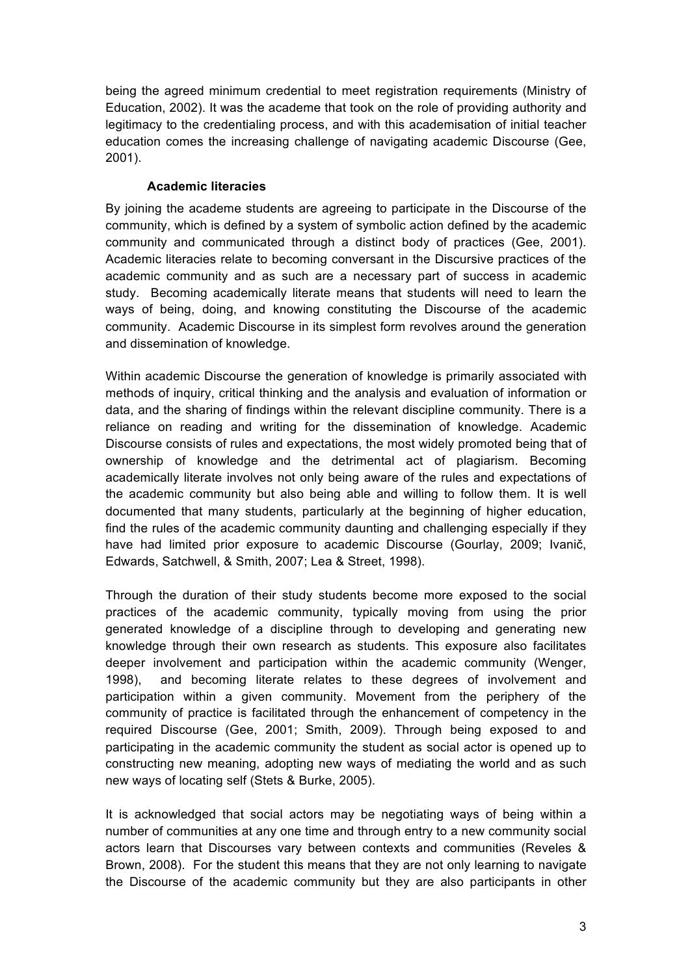being the agreed minimum credential to meet registration requirements (Ministry of Education, 2002). It was the academe that took on the role of providing authority and legitimacy to the credentialing process, and with this academisation of initial teacher education comes the increasing challenge of navigating academic Discourse (Gee, 2001).

# **Academic literacies**

By joining the academe students are agreeing to participate in the Discourse of the community, which is defined by a system of symbolic action defined by the academic community and communicated through a distinct body of practices (Gee, 2001). Academic literacies relate to becoming conversant in the Discursive practices of the academic community and as such are a necessary part of success in academic study. Becoming academically literate means that students will need to learn the ways of being, doing, and knowing constituting the Discourse of the academic community. Academic Discourse in its simplest form revolves around the generation and dissemination of knowledge.

Within academic Discourse the generation of knowledge is primarily associated with methods of inquiry, critical thinking and the analysis and evaluation of information or data, and the sharing of findings within the relevant discipline community. There is a reliance on reading and writing for the dissemination of knowledge. Academic Discourse consists of rules and expectations, the most widely promoted being that of ownership of knowledge and the detrimental act of plagiarism. Becoming academically literate involves not only being aware of the rules and expectations of the academic community but also being able and willing to follow them. It is well documented that many students, particularly at the beginning of higher education, find the rules of the academic community daunting and challenging especially if they have had limited prior exposure to academic Discourse (Gourlay, 2009; Ivanič, Edwards, Satchwell, & Smith, 2007; Lea & Street, 1998).

Through the duration of their study students become more exposed to the social practices of the academic community, typically moving from using the prior generated knowledge of a discipline through to developing and generating new knowledge through their own research as students. This exposure also facilitates deeper involvement and participation within the academic community (Wenger, 1998), and becoming literate relates to these degrees of involvement and participation within a given community. Movement from the periphery of the community of practice is facilitated through the enhancement of competency in the required Discourse (Gee, 2001; Smith, 2009). Through being exposed to and participating in the academic community the student as social actor is opened up to constructing new meaning, adopting new ways of mediating the world and as such new ways of locating self (Stets & Burke, 2005).

It is acknowledged that social actors may be negotiating ways of being within a number of communities at any one time and through entry to a new community social actors learn that Discourses vary between contexts and communities (Reveles & Brown, 2008). For the student this means that they are not only learning to navigate the Discourse of the academic community but they are also participants in other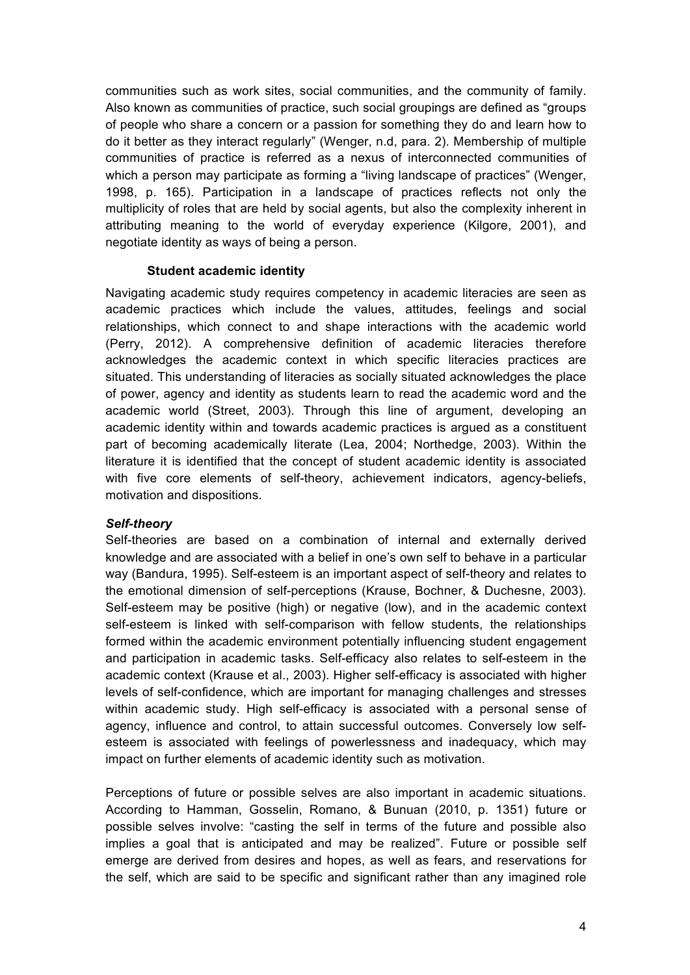communities such as work sites, social communities, and the community of family. Also known as communities of practice, such social groupings are defined as "groups of people who share a concern or a passion for something they do and learn how to do it better as they interact regularly" (Wenger, n.d, para. 2). Membership of multiple communities of practice is referred as a nexus of interconnected communities of which a person may participate as forming a "living landscape of practices" (Wenger, 1998, p. 165). Participation in a landscape of practices reflects not only the multiplicity of roles that are held by social agents, but also the complexity inherent in attributing meaning to the world of everyday experience (Kilgore, 2001), and negotiate identity as ways of being a person.

# **Student academic identity**

Navigating academic study requires competency in academic literacies are seen as academic practices which include the values, attitudes, feelings and social relationships, which connect to and shape interactions with the academic world (Perry, 2012). A comprehensive definition of academic literacies therefore acknowledges the academic context in which specific literacies practices are situated. This understanding of literacies as socially situated acknowledges the place of power, agency and identity as students learn to read the academic word and the academic world (Street, 2003). Through this line of argument, developing an academic identity within and towards academic practices is argued as a constituent part of becoming academically literate (Lea, 2004; Northedge, 2003). Within the literature it is identified that the concept of student academic identity is associated with five core elements of self-theory, achievement indicators, agency-beliefs, motivation and dispositions.

#### *Self-theory*

Self-theories are based on a combination of internal and externally derived knowledge and are associated with a belief in one's own self to behave in a particular way (Bandura, 1995). Self-esteem is an important aspect of self-theory and relates to the emotional dimension of self-perceptions (Krause, Bochner, & Duchesne, 2003). Self-esteem may be positive (high) or negative (low), and in the academic context self-esteem is linked with self-comparison with fellow students, the relationships formed within the academic environment potentially influencing student engagement and participation in academic tasks. Self-efficacy also relates to self-esteem in the academic context (Krause et al., 2003). Higher self-efficacy is associated with higher levels of self-confidence, which are important for managing challenges and stresses within academic study. High self-efficacy is associated with a personal sense of agency, influence and control, to attain successful outcomes. Conversely low selfesteem is associated with feelings of powerlessness and inadequacy, which may impact on further elements of academic identity such as motivation.

Perceptions of future or possible selves are also important in academic situations. According to Hamman, Gosselin, Romano, & Bunuan (2010, p. 1351) future or possible selves involve: "casting the self in terms of the future and possible also implies a goal that is anticipated and may be realized". Future or possible self emerge are derived from desires and hopes, as well as fears, and reservations for the self, which are said to be specific and significant rather than any imagined role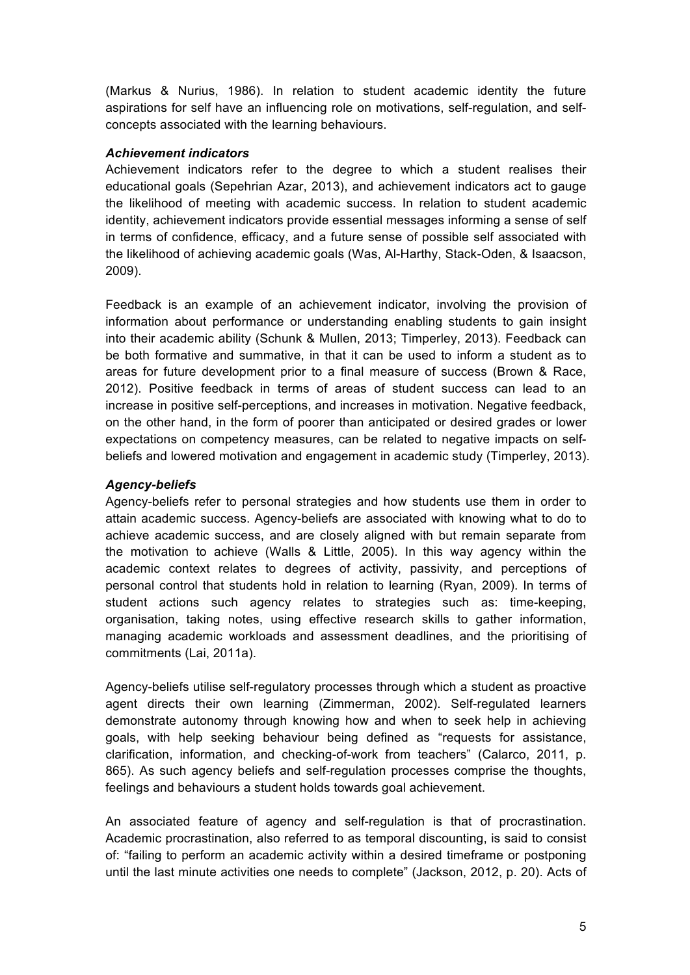(Markus & Nurius, 1986). In relation to student academic identity the future aspirations for self have an influencing role on motivations, self-regulation, and selfconcepts associated with the learning behaviours.

# *Achievement indicators*

Achievement indicators refer to the degree to which a student realises their educational goals (Sepehrian Azar, 2013), and achievement indicators act to gauge the likelihood of meeting with academic success. In relation to student academic identity, achievement indicators provide essential messages informing a sense of self in terms of confidence, efficacy, and a future sense of possible self associated with the likelihood of achieving academic goals (Was, Al-Harthy, Stack-Oden, & Isaacson, 2009).

Feedback is an example of an achievement indicator, involving the provision of information about performance or understanding enabling students to gain insight into their academic ability (Schunk & Mullen, 2013; Timperley, 2013). Feedback can be both formative and summative, in that it can be used to inform a student as to areas for future development prior to a final measure of success (Brown & Race, 2012). Positive feedback in terms of areas of student success can lead to an increase in positive self-perceptions, and increases in motivation. Negative feedback, on the other hand, in the form of poorer than anticipated or desired grades or lower expectations on competency measures, can be related to negative impacts on selfbeliefs and lowered motivation and engagement in academic study (Timperley, 2013).

# *Agency-beliefs*

Agency-beliefs refer to personal strategies and how students use them in order to attain academic success. Agency-beliefs are associated with knowing what to do to achieve academic success, and are closely aligned with but remain separate from the motivation to achieve (Walls & Little, 2005). In this way agency within the academic context relates to degrees of activity, passivity, and perceptions of personal control that students hold in relation to learning (Ryan, 2009). In terms of student actions such agency relates to strategies such as: time-keeping, organisation, taking notes, using effective research skills to gather information, managing academic workloads and assessment deadlines, and the prioritising of commitments (Lai, 2011a).

Agency-beliefs utilise self-regulatory processes through which a student as proactive agent directs their own learning (Zimmerman, 2002). Self-regulated learners demonstrate autonomy through knowing how and when to seek help in achieving goals, with help seeking behaviour being defined as "requests for assistance, clarification, information, and checking-of-work from teachers" (Calarco, 2011, p. 865). As such agency beliefs and self-regulation processes comprise the thoughts, feelings and behaviours a student holds towards goal achievement.

An associated feature of agency and self-regulation is that of procrastination. Academic procrastination, also referred to as temporal discounting, is said to consist of: "failing to perform an academic activity within a desired timeframe or postponing until the last minute activities one needs to complete" (Jackson, 2012, p. 20). Acts of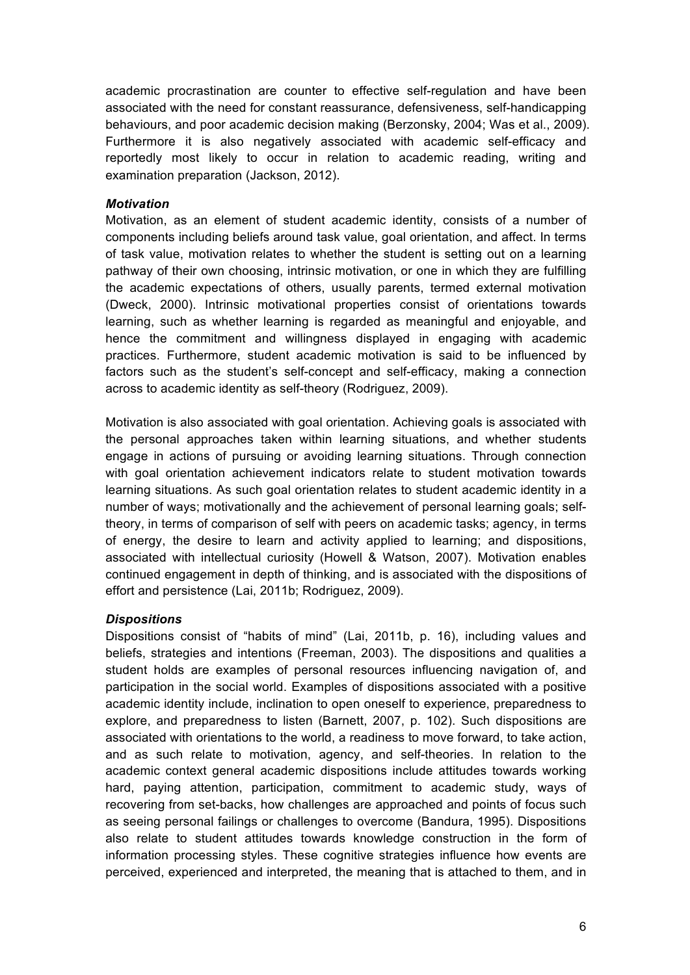academic procrastination are counter to effective self-regulation and have been associated with the need for constant reassurance, defensiveness, self-handicapping behaviours, and poor academic decision making (Berzonsky, 2004; Was et al., 2009). Furthermore it is also negatively associated with academic self-efficacy and reportedly most likely to occur in relation to academic reading, writing and examination preparation (Jackson, 2012).

#### *Motivation*

Motivation, as an element of student academic identity, consists of a number of components including beliefs around task value, goal orientation, and affect. In terms of task value, motivation relates to whether the student is setting out on a learning pathway of their own choosing, intrinsic motivation, or one in which they are fulfilling the academic expectations of others, usually parents, termed external motivation (Dweck, 2000). Intrinsic motivational properties consist of orientations towards learning, such as whether learning is regarded as meaningful and enjoyable, and hence the commitment and willingness displayed in engaging with academic practices. Furthermore, student academic motivation is said to be influenced by factors such as the student's self-concept and self-efficacy, making a connection across to academic identity as self-theory (Rodriguez, 2009).

Motivation is also associated with goal orientation. Achieving goals is associated with the personal approaches taken within learning situations, and whether students engage in actions of pursuing or avoiding learning situations. Through connection with goal orientation achievement indicators relate to student motivation towards learning situations. As such goal orientation relates to student academic identity in a number of ways; motivationally and the achievement of personal learning goals; selftheory, in terms of comparison of self with peers on academic tasks; agency, in terms of energy, the desire to learn and activity applied to learning; and dispositions, associated with intellectual curiosity (Howell & Watson, 2007). Motivation enables continued engagement in depth of thinking, and is associated with the dispositions of effort and persistence (Lai, 2011b; Rodriguez, 2009).

# *Dispositions*

Dispositions consist of "habits of mind" (Lai, 2011b, p. 16), including values and beliefs, strategies and intentions (Freeman, 2003). The dispositions and qualities a student holds are examples of personal resources influencing navigation of, and participation in the social world. Examples of dispositions associated with a positive academic identity include, inclination to open oneself to experience, preparedness to explore, and preparedness to listen (Barnett, 2007, p. 102). Such dispositions are associated with orientations to the world, a readiness to move forward, to take action, and as such relate to motivation, agency, and self-theories. In relation to the academic context general academic dispositions include attitudes towards working hard, paying attention, participation, commitment to academic study, ways of recovering from set-backs, how challenges are approached and points of focus such as seeing personal failings or challenges to overcome (Bandura, 1995). Dispositions also relate to student attitudes towards knowledge construction in the form of information processing styles. These cognitive strategies influence how events are perceived, experienced and interpreted, the meaning that is attached to them, and in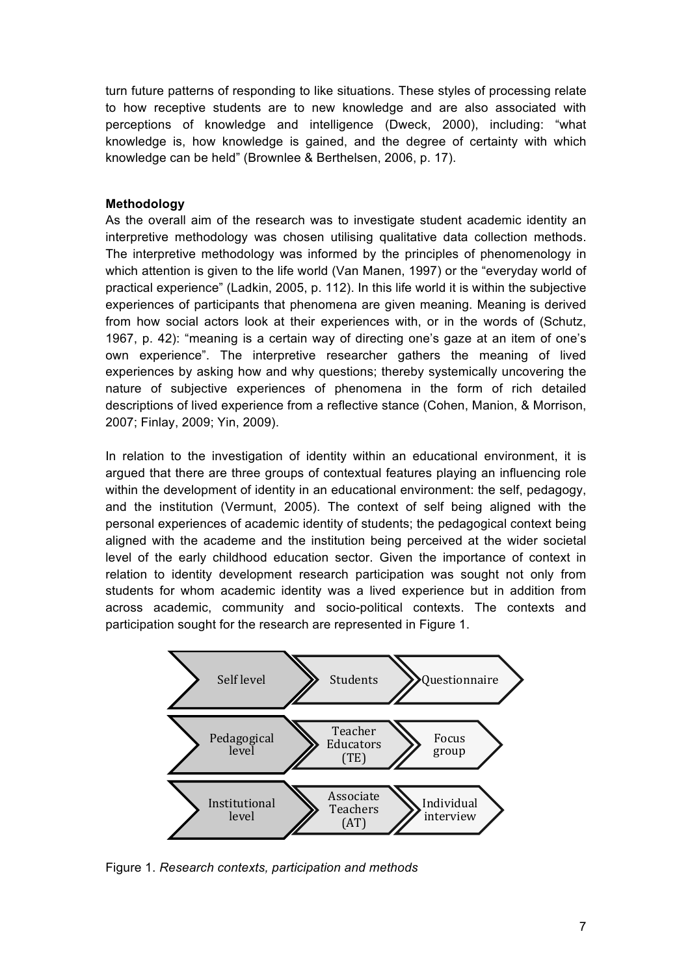turn future patterns of responding to like situations. These styles of processing relate to how receptive students are to new knowledge and are also associated with perceptions of knowledge and intelligence (Dweck, 2000), including: "what knowledge is, how knowledge is gained, and the degree of certainty with which knowledge can be held" (Brownlee & Berthelsen, 2006, p. 17).

#### **Methodology**

As the overall aim of the research was to investigate student academic identity an interpretive methodology was chosen utilising qualitative data collection methods. The interpretive methodology was informed by the principles of phenomenology in which attention is given to the life world (Van Manen, 1997) or the "everyday world of practical experience" (Ladkin, 2005, p. 112). In this life world it is within the subjective experiences of participants that phenomena are given meaning. Meaning is derived from how social actors look at their experiences with, or in the words of (Schutz, 1967, p. 42): "meaning is a certain way of directing one's gaze at an item of one's own experience". The interpretive researcher gathers the meaning of lived experiences by asking how and why questions; thereby systemically uncovering the nature of subjective experiences of phenomena in the form of rich detailed descriptions of lived experience from a reflective stance (Cohen, Manion, & Morrison, 2007; Finlay, 2009; Yin, 2009).

In relation to the investigation of identity within an educational environment, it is argued that there are three groups of contextual features playing an influencing role within the development of identity in an educational environment: the self, pedagogy, and the institution (Vermunt, 2005). The context of self being aligned with the personal experiences of academic identity of students; the pedagogical context being aligned with the academe and the institution being perceived at the wider societal level of the early childhood education sector. Given the importance of context in relation to identity development research participation was sought not only from students for whom academic identity was a lived experience but in addition from across academic, community and socio-political contexts. The contexts and participation sought for the research are represented in Figure 1.



Figure 1. *Research contexts, participation and methods*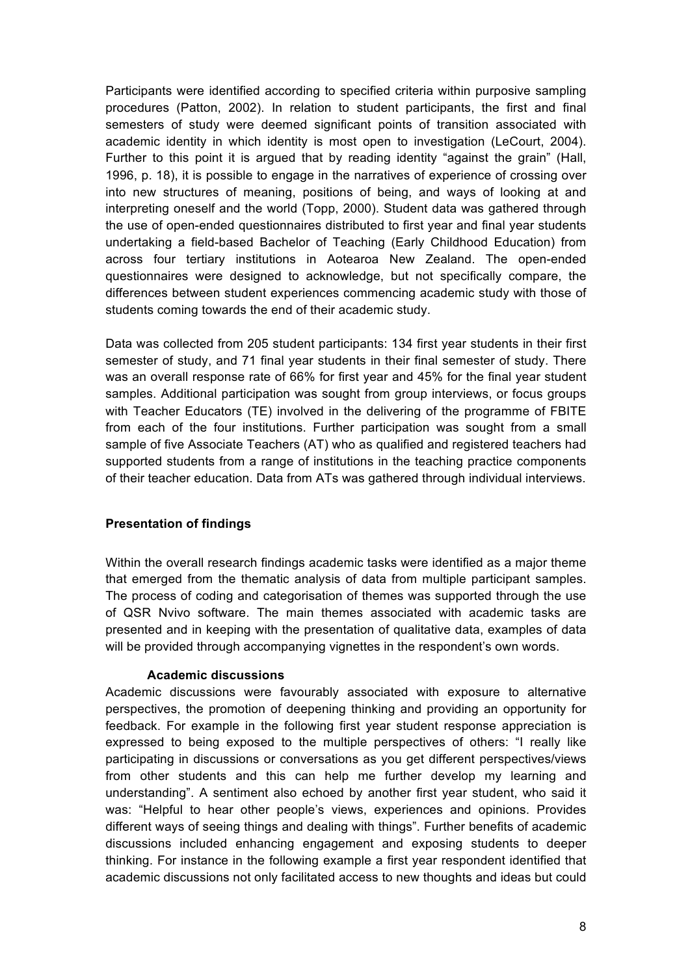Participants were identified according to specified criteria within purposive sampling procedures (Patton, 2002). In relation to student participants, the first and final semesters of study were deemed significant points of transition associated with academic identity in which identity is most open to investigation (LeCourt, 2004). Further to this point it is argued that by reading identity "against the grain" (Hall, 1996, p. 18), it is possible to engage in the narratives of experience of crossing over into new structures of meaning, positions of being, and ways of looking at and interpreting oneself and the world (Topp, 2000). Student data was gathered through the use of open-ended questionnaires distributed to first year and final year students undertaking a field-based Bachelor of Teaching (Early Childhood Education) from across four tertiary institutions in Aotearoa New Zealand. The open-ended questionnaires were designed to acknowledge, but not specifically compare, the differences between student experiences commencing academic study with those of students coming towards the end of their academic study.

Data was collected from 205 student participants: 134 first year students in their first semester of study, and 71 final year students in their final semester of study. There was an overall response rate of 66% for first year and 45% for the final year student samples. Additional participation was sought from group interviews, or focus groups with Teacher Educators (TE) involved in the delivering of the programme of FBITE from each of the four institutions. Further participation was sought from a small sample of five Associate Teachers (AT) who as qualified and registered teachers had supported students from a range of institutions in the teaching practice components of their teacher education. Data from ATs was gathered through individual interviews.

# **Presentation of findings**

Within the overall research findings academic tasks were identified as a major theme that emerged from the thematic analysis of data from multiple participant samples. The process of coding and categorisation of themes was supported through the use of QSR Nvivo software. The main themes associated with academic tasks are presented and in keeping with the presentation of qualitative data, examples of data will be provided through accompanying vignettes in the respondent's own words.

# **Academic discussions**

Academic discussions were favourably associated with exposure to alternative perspectives, the promotion of deepening thinking and providing an opportunity for feedback. For example in the following first year student response appreciation is expressed to being exposed to the multiple perspectives of others: "I really like participating in discussions or conversations as you get different perspectives/views from other students and this can help me further develop my learning and understanding". A sentiment also echoed by another first year student, who said it was: "Helpful to hear other people's views, experiences and opinions. Provides different ways of seeing things and dealing with things". Further benefits of academic discussions included enhancing engagement and exposing students to deeper thinking. For instance in the following example a first year respondent identified that academic discussions not only facilitated access to new thoughts and ideas but could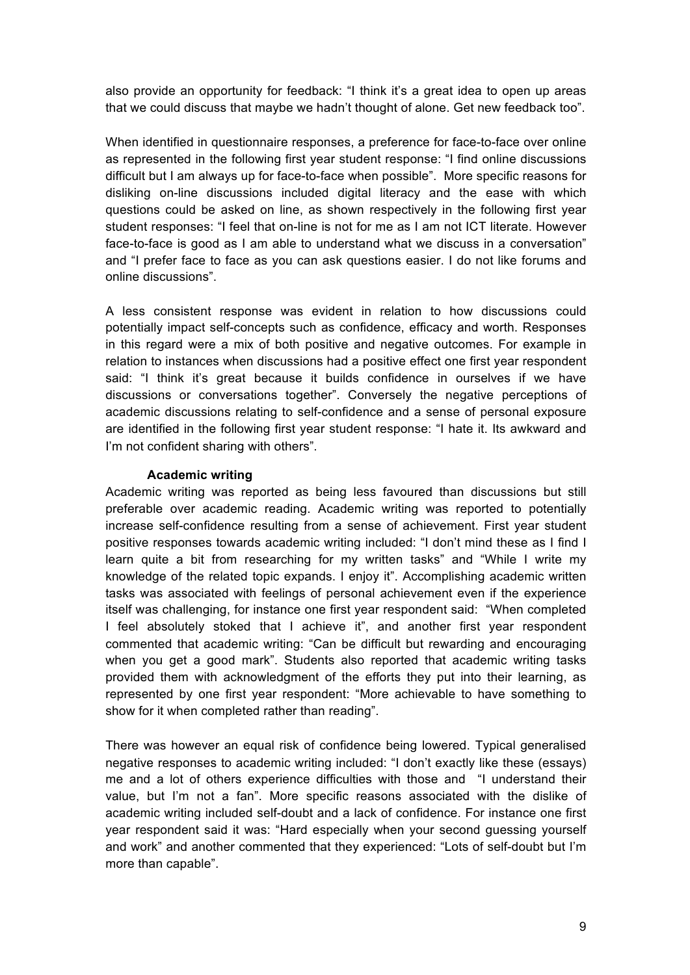also provide an opportunity for feedback: "I think it's a great idea to open up areas that we could discuss that maybe we hadn't thought of alone. Get new feedback too".

When identified in questionnaire responses, a preference for face-to-face over online as represented in the following first year student response: "I find online discussions difficult but I am always up for face-to-face when possible". More specific reasons for disliking on-line discussions included digital literacy and the ease with which questions could be asked on line, as shown respectively in the following first year student responses: "I feel that on-line is not for me as I am not ICT literate. However face-to-face is good as I am able to understand what we discuss in a conversation" and "I prefer face to face as you can ask questions easier. I do not like forums and online discussions".

A less consistent response was evident in relation to how discussions could potentially impact self-concepts such as confidence, efficacy and worth. Responses in this regard were a mix of both positive and negative outcomes. For example in relation to instances when discussions had a positive effect one first year respondent said: "I think it's great because it builds confidence in ourselves if we have discussions or conversations together". Conversely the negative perceptions of academic discussions relating to self-confidence and a sense of personal exposure are identified in the following first year student response: "I hate it. Its awkward and I'm not confident sharing with others".

#### **Academic writing**

Academic writing was reported as being less favoured than discussions but still preferable over academic reading. Academic writing was reported to potentially increase self-confidence resulting from a sense of achievement. First year student positive responses towards academic writing included: "I don't mind these as I find I learn quite a bit from researching for my written tasks" and "While I write my knowledge of the related topic expands. I enjoy it". Accomplishing academic written tasks was associated with feelings of personal achievement even if the experience itself was challenging, for instance one first year respondent said: "When completed I feel absolutely stoked that I achieve it", and another first year respondent commented that academic writing: "Can be difficult but rewarding and encouraging when you get a good mark". Students also reported that academic writing tasks provided them with acknowledgment of the efforts they put into their learning, as represented by one first year respondent: "More achievable to have something to show for it when completed rather than reading".

There was however an equal risk of confidence being lowered. Typical generalised negative responses to academic writing included: "I don't exactly like these (essays) me and a lot of others experience difficulties with those and "I understand their value, but I'm not a fan". More specific reasons associated with the dislike of academic writing included self-doubt and a lack of confidence. For instance one first year respondent said it was: "Hard especially when your second guessing yourself and work" and another commented that they experienced: "Lots of self-doubt but I'm more than capable".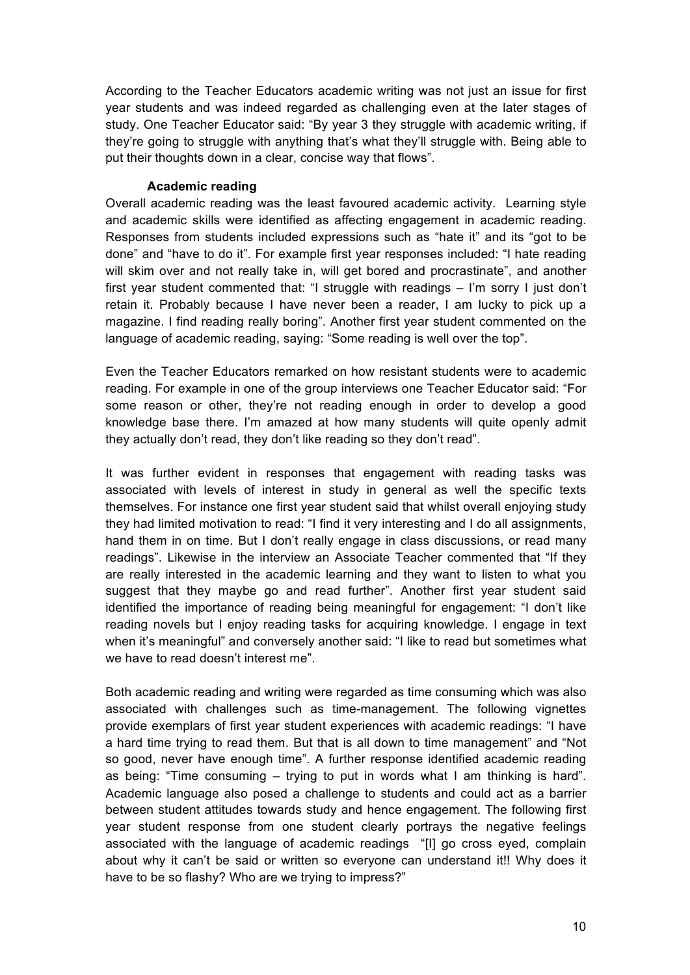According to the Teacher Educators academic writing was not just an issue for first year students and was indeed regarded as challenging even at the later stages of study. One Teacher Educator said: "By year 3 they struggle with academic writing, if they're going to struggle with anything that's what they'll struggle with. Being able to put their thoughts down in a clear, concise way that flows".

# **Academic reading**

Overall academic reading was the least favoured academic activity. Learning style and academic skills were identified as affecting engagement in academic reading. Responses from students included expressions such as "hate it" and its "got to be done" and "have to do it". For example first year responses included: "I hate reading will skim over and not really take in, will get bored and procrastinate", and another first year student commented that: "I struggle with readings – I'm sorry I just don't retain it. Probably because I have never been a reader, I am lucky to pick up a magazine. I find reading really boring". Another first year student commented on the language of academic reading, saying: "Some reading is well over the top".

Even the Teacher Educators remarked on how resistant students were to academic reading. For example in one of the group interviews one Teacher Educator said: "For some reason or other, they're not reading enough in order to develop a good knowledge base there. I'm amazed at how many students will quite openly admit they actually don't read, they don't like reading so they don't read".

It was further evident in responses that engagement with reading tasks was associated with levels of interest in study in general as well the specific texts themselves. For instance one first year student said that whilst overall enjoying study they had limited motivation to read: "I find it very interesting and I do all assignments, hand them in on time. But I don't really engage in class discussions, or read many readings". Likewise in the interview an Associate Teacher commented that "If they are really interested in the academic learning and they want to listen to what you suggest that they maybe go and read further". Another first year student said identified the importance of reading being meaningful for engagement: "I don't like reading novels but I enjoy reading tasks for acquiring knowledge. I engage in text when it's meaningful" and conversely another said: "I like to read but sometimes what we have to read doesn't interest me".

Both academic reading and writing were regarded as time consuming which was also associated with challenges such as time-management. The following vignettes provide exemplars of first year student experiences with academic readings: "I have a hard time trying to read them. But that is all down to time management" and "Not so good, never have enough time". A further response identified academic reading as being: "Time consuming – trying to put in words what I am thinking is hard". Academic language also posed a challenge to students and could act as a barrier between student attitudes towards study and hence engagement. The following first year student response from one student clearly portrays the negative feelings associated with the language of academic readings "[I] go cross eyed, complain about why it can't be said or written so everyone can understand it!! Why does it have to be so flashy? Who are we trying to impress?"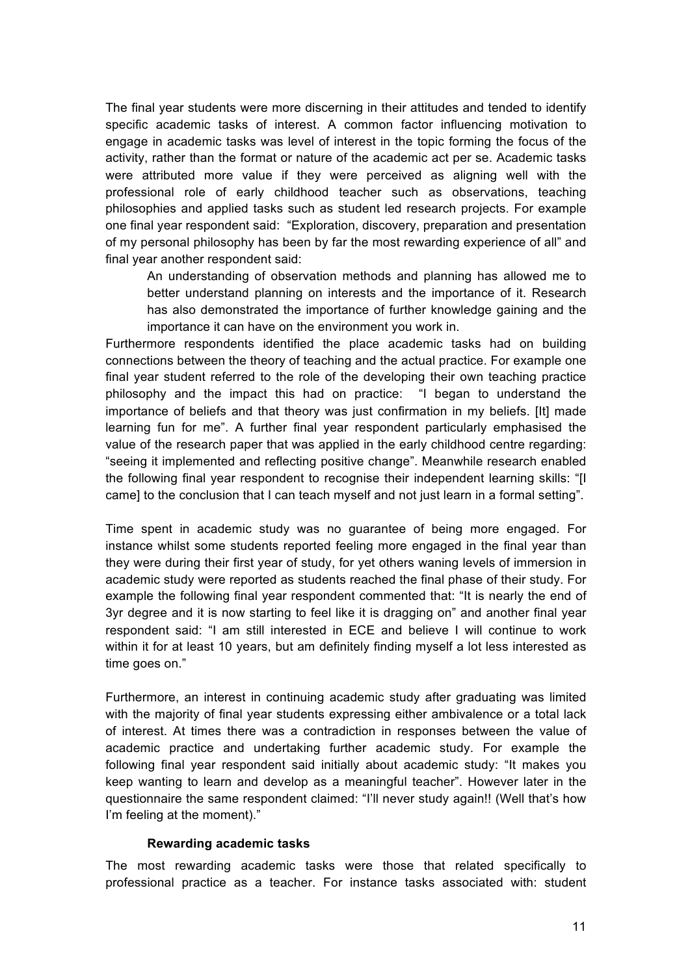The final year students were more discerning in their attitudes and tended to identify specific academic tasks of interest. A common factor influencing motivation to engage in academic tasks was level of interest in the topic forming the focus of the activity, rather than the format or nature of the academic act per se. Academic tasks were attributed more value if they were perceived as aligning well with the professional role of early childhood teacher such as observations, teaching philosophies and applied tasks such as student led research projects. For example one final year respondent said: "Exploration, discovery, preparation and presentation of my personal philosophy has been by far the most rewarding experience of all" and final year another respondent said:

An understanding of observation methods and planning has allowed me to better understand planning on interests and the importance of it. Research has also demonstrated the importance of further knowledge gaining and the importance it can have on the environment you work in.

Furthermore respondents identified the place academic tasks had on building connections between the theory of teaching and the actual practice. For example one final year student referred to the role of the developing their own teaching practice philosophy and the impact this had on practice: "I began to understand the importance of beliefs and that theory was just confirmation in my beliefs. [It] made learning fun for me". A further final year respondent particularly emphasised the value of the research paper that was applied in the early childhood centre regarding: "seeing it implemented and reflecting positive change". Meanwhile research enabled the following final year respondent to recognise their independent learning skills: "[I came] to the conclusion that I can teach myself and not just learn in a formal setting".

Time spent in academic study was no guarantee of being more engaged. For instance whilst some students reported feeling more engaged in the final year than they were during their first year of study, for yet others waning levels of immersion in academic study were reported as students reached the final phase of their study. For example the following final year respondent commented that: "It is nearly the end of 3yr degree and it is now starting to feel like it is dragging on" and another final year respondent said: "I am still interested in ECE and believe I will continue to work within it for at least 10 years, but am definitely finding myself a lot less interested as time goes on."

Furthermore, an interest in continuing academic study after graduating was limited with the majority of final year students expressing either ambivalence or a total lack of interest. At times there was a contradiction in responses between the value of academic practice and undertaking further academic study. For example the following final year respondent said initially about academic study: "It makes you keep wanting to learn and develop as a meaningful teacher". However later in the questionnaire the same respondent claimed: "I'll never study again!! (Well that's how I'm feeling at the moment)."

#### **Rewarding academic tasks**

The most rewarding academic tasks were those that related specifically to professional practice as a teacher. For instance tasks associated with: student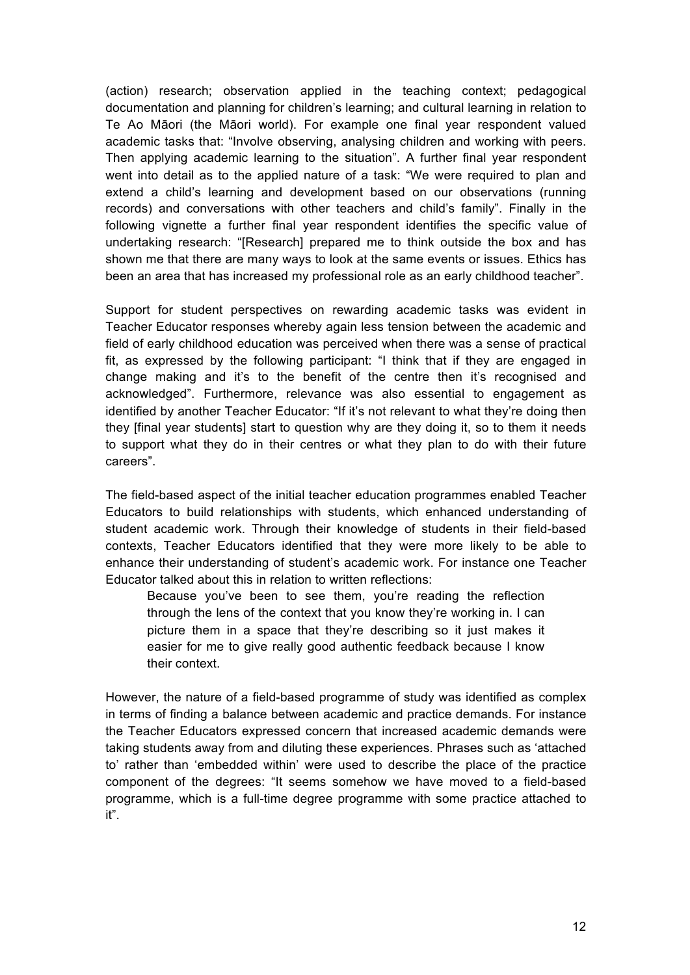(action) research; observation applied in the teaching context; pedagogical documentation and planning for children's learning; and cultural learning in relation to Te Ao Māori (the Māori world). For example one final year respondent valued academic tasks that: "Involve observing, analysing children and working with peers. Then applying academic learning to the situation". A further final year respondent went into detail as to the applied nature of a task: "We were required to plan and extend a child's learning and development based on our observations (running records) and conversations with other teachers and child's family". Finally in the following vignette a further final year respondent identifies the specific value of undertaking research: "[Research] prepared me to think outside the box and has shown me that there are many ways to look at the same events or issues. Ethics has been an area that has increased my professional role as an early childhood teacher".

Support for student perspectives on rewarding academic tasks was evident in Teacher Educator responses whereby again less tension between the academic and field of early childhood education was perceived when there was a sense of practical fit, as expressed by the following participant: "I think that if they are engaged in change making and it's to the benefit of the centre then it's recognised and acknowledged". Furthermore, relevance was also essential to engagement as identified by another Teacher Educator: "If it's not relevant to what they're doing then they [final year students] start to question why are they doing it, so to them it needs to support what they do in their centres or what they plan to do with their future careers".

The field-based aspect of the initial teacher education programmes enabled Teacher Educators to build relationships with students, which enhanced understanding of student academic work. Through their knowledge of students in their field-based contexts, Teacher Educators identified that they were more likely to be able to enhance their understanding of student's academic work. For instance one Teacher Educator talked about this in relation to written reflections:

Because you've been to see them, you're reading the reflection through the lens of the context that you know they're working in. I can picture them in a space that they're describing so it just makes it easier for me to give really good authentic feedback because I know their context.

However, the nature of a field-based programme of study was identified as complex in terms of finding a balance between academic and practice demands. For instance the Teacher Educators expressed concern that increased academic demands were taking students away from and diluting these experiences. Phrases such as 'attached to' rather than 'embedded within' were used to describe the place of the practice component of the degrees: "It seems somehow we have moved to a field-based programme, which is a full-time degree programme with some practice attached to it".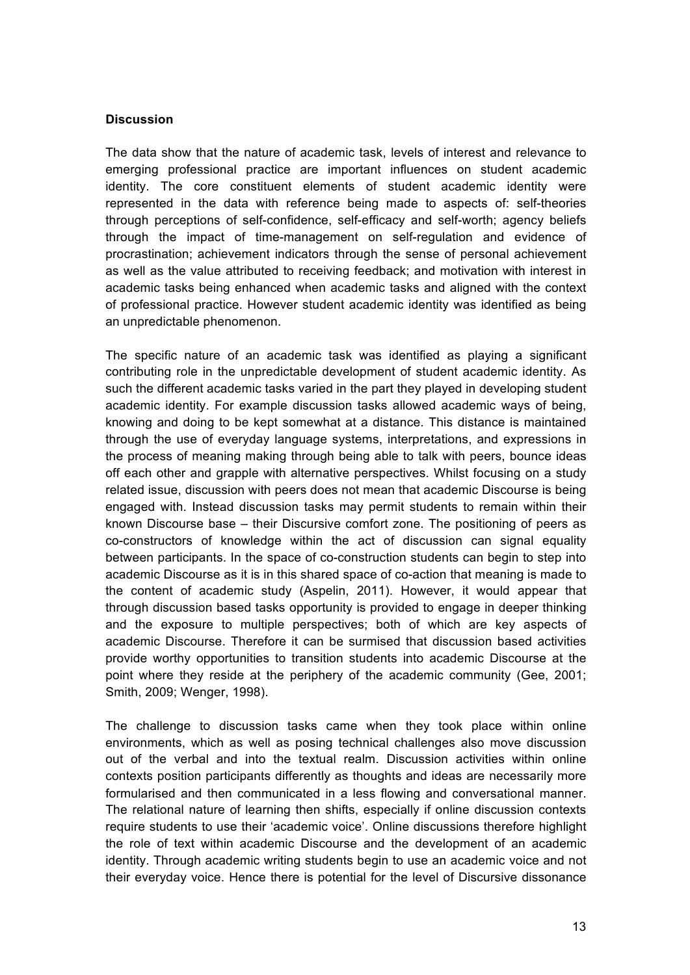## **Discussion**

The data show that the nature of academic task, levels of interest and relevance to emerging professional practice are important influences on student academic identity. The core constituent elements of student academic identity were represented in the data with reference being made to aspects of: self-theories through perceptions of self-confidence, self-efficacy and self-worth; agency beliefs through the impact of time-management on self-regulation and evidence of procrastination; achievement indicators through the sense of personal achievement as well as the value attributed to receiving feedback; and motivation with interest in academic tasks being enhanced when academic tasks and aligned with the context of professional practice. However student academic identity was identified as being an unpredictable phenomenon.

The specific nature of an academic task was identified as playing a significant contributing role in the unpredictable development of student academic identity. As such the different academic tasks varied in the part they played in developing student academic identity. For example discussion tasks allowed academic ways of being, knowing and doing to be kept somewhat at a distance. This distance is maintained through the use of everyday language systems, interpretations, and expressions in the process of meaning making through being able to talk with peers, bounce ideas off each other and grapple with alternative perspectives. Whilst focusing on a study related issue, discussion with peers does not mean that academic Discourse is being engaged with. Instead discussion tasks may permit students to remain within their known Discourse base – their Discursive comfort zone. The positioning of peers as co-constructors of knowledge within the act of discussion can signal equality between participants. In the space of co-construction students can begin to step into academic Discourse as it is in this shared space of co-action that meaning is made to the content of academic study (Aspelin, 2011). However, it would appear that through discussion based tasks opportunity is provided to engage in deeper thinking and the exposure to multiple perspectives; both of which are key aspects of academic Discourse. Therefore it can be surmised that discussion based activities provide worthy opportunities to transition students into academic Discourse at the point where they reside at the periphery of the academic community (Gee, 2001; Smith, 2009; Wenger, 1998).

The challenge to discussion tasks came when they took place within online environments, which as well as posing technical challenges also move discussion out of the verbal and into the textual realm. Discussion activities within online contexts position participants differently as thoughts and ideas are necessarily more formularised and then communicated in a less flowing and conversational manner. The relational nature of learning then shifts, especially if online discussion contexts require students to use their 'academic voice'. Online discussions therefore highlight the role of text within academic Discourse and the development of an academic identity. Through academic writing students begin to use an academic voice and not their everyday voice. Hence there is potential for the level of Discursive dissonance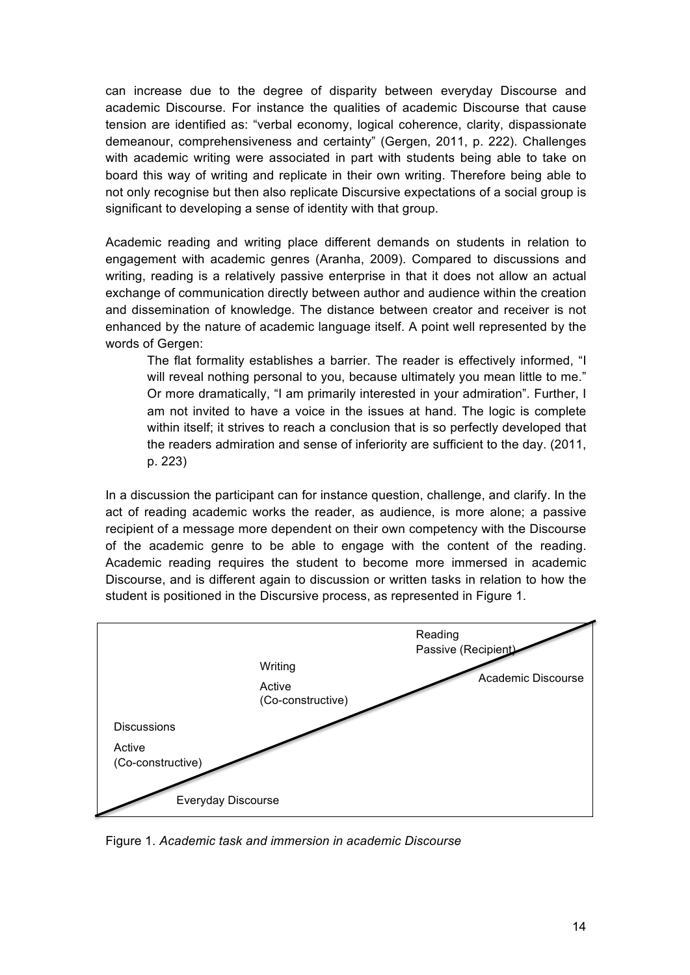can increase due to the degree of disparity between everyday Discourse and academic Discourse. For instance the qualities of academic Discourse that cause tension are identified as: "verbal economy, logical coherence, clarity, dispassionate demeanour, comprehensiveness and certainty" (Gergen, 2011, p. 222). Challenges with academic writing were associated in part with students being able to take on board this way of writing and replicate in their own writing. Therefore being able to not only recognise but then also replicate Discursive expectations of a social group is significant to developing a sense of identity with that group.

Academic reading and writing place different demands on students in relation to engagement with academic genres (Aranha, 2009). Compared to discussions and writing, reading is a relatively passive enterprise in that it does not allow an actual exchange of communication directly between author and audience within the creation and dissemination of knowledge. The distance between creator and receiver is not enhanced by the nature of academic language itself. A point well represented by the words of Gergen:

The flat formality establishes a barrier. The reader is effectively informed, "I will reveal nothing personal to you, because ultimately you mean little to me." Or more dramatically, "I am primarily interested in your admiration". Further, I am not invited to have a voice in the issues at hand. The logic is complete within itself; it strives to reach a conclusion that is so perfectly developed that the readers admiration and sense of inferiority are sufficient to the day. (2011, p. 223)

In a discussion the participant can for instance question, challenge, and clarify. In the act of reading academic works the reader, as audience, is more alone; a passive recipient of a message more dependent on their own competency with the Discourse of the academic genre to be able to engage with the content of the reading. Academic reading requires the student to become more immersed in academic Discourse, and is different again to discussion or written tasks in relation to how the student is positioned in the Discursive process, as represented in Figure 1.



Figure 1. *Academic task and immersion in academic Discourse*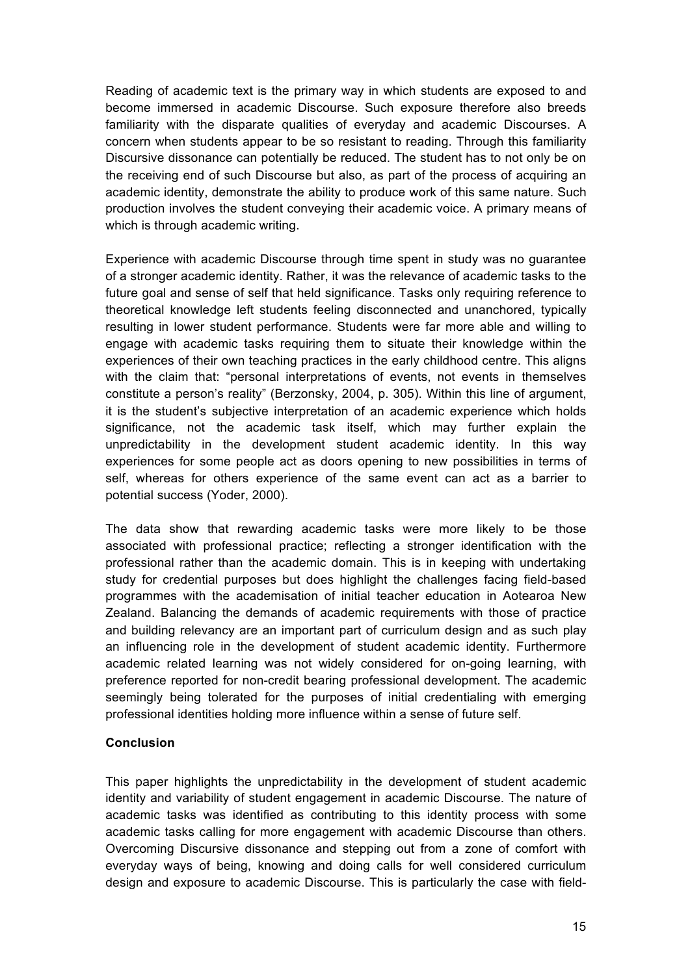Reading of academic text is the primary way in which students are exposed to and become immersed in academic Discourse. Such exposure therefore also breeds familiarity with the disparate qualities of everyday and academic Discourses. A concern when students appear to be so resistant to reading. Through this familiarity Discursive dissonance can potentially be reduced. The student has to not only be on the receiving end of such Discourse but also, as part of the process of acquiring an academic identity, demonstrate the ability to produce work of this same nature. Such production involves the student conveying their academic voice. A primary means of which is through academic writing.

Experience with academic Discourse through time spent in study was no guarantee of a stronger academic identity. Rather, it was the relevance of academic tasks to the future goal and sense of self that held significance. Tasks only requiring reference to theoretical knowledge left students feeling disconnected and unanchored, typically resulting in lower student performance. Students were far more able and willing to engage with academic tasks requiring them to situate their knowledge within the experiences of their own teaching practices in the early childhood centre. This aligns with the claim that: "personal interpretations of events, not events in themselves constitute a person's reality" (Berzonsky, 2004, p. 305). Within this line of argument, it is the student's subjective interpretation of an academic experience which holds significance, not the academic task itself, which may further explain the unpredictability in the development student academic identity. In this way experiences for some people act as doors opening to new possibilities in terms of self, whereas for others experience of the same event can act as a barrier to potential success (Yoder, 2000).

The data show that rewarding academic tasks were more likely to be those associated with professional practice; reflecting a stronger identification with the professional rather than the academic domain. This is in keeping with undertaking study for credential purposes but does highlight the challenges facing field-based programmes with the academisation of initial teacher education in Aotearoa New Zealand. Balancing the demands of academic requirements with those of practice and building relevancy are an important part of curriculum design and as such play an influencing role in the development of student academic identity. Furthermore academic related learning was not widely considered for on-going learning, with preference reported for non-credit bearing professional development. The academic seemingly being tolerated for the purposes of initial credentialing with emerging professional identities holding more influence within a sense of future self.

# **Conclusion**

This paper highlights the unpredictability in the development of student academic identity and variability of student engagement in academic Discourse. The nature of academic tasks was identified as contributing to this identity process with some academic tasks calling for more engagement with academic Discourse than others. Overcoming Discursive dissonance and stepping out from a zone of comfort with everyday ways of being, knowing and doing calls for well considered curriculum design and exposure to academic Discourse. This is particularly the case with field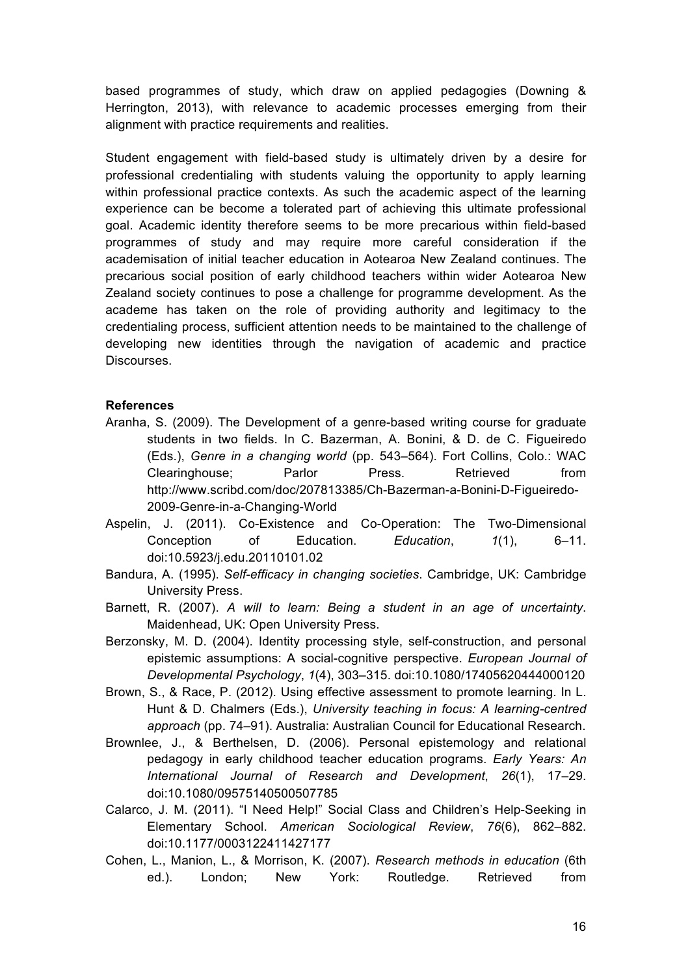based programmes of study, which draw on applied pedagogies (Downing & Herrington, 2013), with relevance to academic processes emerging from their alignment with practice requirements and realities.

Student engagement with field-based study is ultimately driven by a desire for professional credentialing with students valuing the opportunity to apply learning within professional practice contexts. As such the academic aspect of the learning experience can be become a tolerated part of achieving this ultimate professional goal. Academic identity therefore seems to be more precarious within field-based programmes of study and may require more careful consideration if the academisation of initial teacher education in Aotearoa New Zealand continues. The precarious social position of early childhood teachers within wider Aotearoa New Zealand society continues to pose a challenge for programme development. As the academe has taken on the role of providing authority and legitimacy to the credentialing process, sufficient attention needs to be maintained to the challenge of developing new identities through the navigation of academic and practice Discourses.

#### **References**

- Aranha, S. (2009). The Development of a genre-based writing course for graduate students in two fields. In C. Bazerman, A. Bonini, & D. de C. Figueiredo (Eds.), *Genre in a changing world* (pp. 543–564). Fort Collins, Colo.: WAC Clearinghouse; Parlor Press. Retrieved from http://www.scribd.com/doc/207813385/Ch-Bazerman-a-Bonini-D-Figueiredo-2009-Genre-in-a-Changing-World
- Aspelin, J. (2011). Co-Existence and Co-Operation: The Two-Dimensional Conception of Education. *Education*, *1*(1), 6–11. doi:10.5923/j.edu.20110101.02
- Bandura, A. (1995). *Self-efficacy in changing societies*. Cambridge, UK: Cambridge University Press.
- Barnett, R. (2007). *A will to learn: Being a student in an age of uncertainty*. Maidenhead, UK: Open University Press.
- Berzonsky, M. D. (2004). Identity processing style, self-construction, and personal epistemic assumptions: A social-cognitive perspective. *European Journal of Developmental Psychology*, *1*(4), 303–315. doi:10.1080/17405620444000120
- Brown, S., & Race, P. (2012). Using effective assessment to promote learning. In L. Hunt & D. Chalmers (Eds.), *University teaching in focus: A learning-centred approach* (pp. 74–91). Australia: Australian Council for Educational Research.
- Brownlee, J., & Berthelsen, D. (2006). Personal epistemology and relational pedagogy in early childhood teacher education programs. *Early Years: An International Journal of Research and Development*, *26*(1), 17–29. doi:10.1080/09575140500507785
- Calarco, J. M. (2011). "I Need Help!" Social Class and Children's Help-Seeking in Elementary School. *American Sociological Review*, *76*(6), 862–882. doi:10.1177/0003122411427177
- Cohen, L., Manion, L., & Morrison, K. (2007). *Research methods in education* (6th ed.). London; New York: Routledge. Retrieved from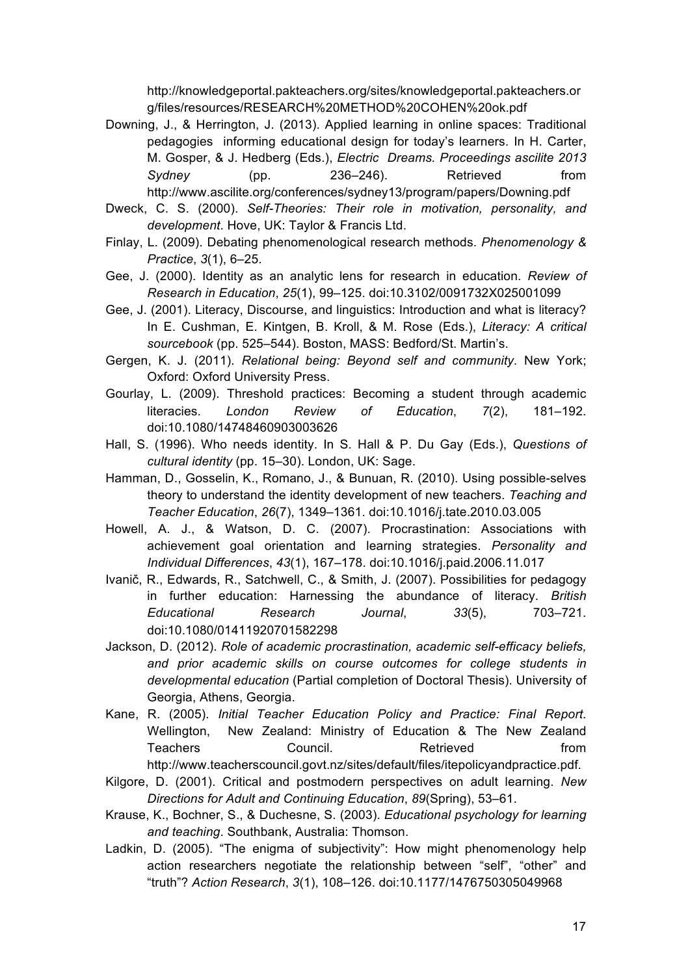http://knowledgeportal.pakteachers.org/sites/knowledgeportal.pakteachers.or g/files/resources/RESEARCH%20METHOD%20COHEN%20ok.pdf

- Downing, J., & Herrington, J. (2013). Applied learning in online spaces: Traditional pedagogies informing educational design for today's learners. In H. Carter, M. Gosper, & J. Hedberg (Eds.), *Electric Dreams. Proceedings ascilite 2013 Sydney* (pp. 236–246). Retrieved from http://www.ascilite.org/conferences/sydney13/program/papers/Downing.pdf
- Dweck, C. S. (2000). *Self-Theories: Their role in motivation, personality, and development*. Hove, UK: Taylor & Francis Ltd.
- Finlay, L. (2009). Debating phenomenological research methods. *Phenomenology & Practice*, *3*(1), 6–25.
- Gee, J. (2000). Identity as an analytic lens for research in education. *Review of Research in Education*, *25*(1), 99–125. doi:10.3102/0091732X025001099
- Gee, J. (2001). Literacy, Discourse, and linguistics: Introduction and what is literacy? In E. Cushman, E. Kintgen, B. Kroll, & M. Rose (Eds.), *Literacy: A critical sourcebook* (pp. 525–544). Boston, MASS: Bedford/St. Martin's.
- Gergen, K. J. (2011). *Relational being: Beyond self and community*. New York; Oxford: Oxford University Press.
- Gourlay, L. (2009). Threshold practices: Becoming a student through academic literacies. *London Review of Education*, *7*(2), 181–192. doi:10.1080/14748460903003626
- Hall, S. (1996). Who needs identity. In S. Hall & P. Du Gay (Eds.), *Questions of cultural identity* (pp. 15–30). London, UK: Sage.
- Hamman, D., Gosselin, K., Romano, J., & Bunuan, R. (2010). Using possible-selves theory to understand the identity development of new teachers. *Teaching and Teacher Education*, *26*(7), 1349–1361. doi:10.1016/j.tate.2010.03.005
- Howell, A. J., & Watson, D. C. (2007). Procrastination: Associations with achievement goal orientation and learning strategies. *Personality and Individual Differences*, *43*(1), 167–178. doi:10.1016/j.paid.2006.11.017
- Ivanič, R., Edwards, R., Satchwell, C., & Smith, J. (2007). Possibilities for pedagogy in further education: Harnessing the abundance of literacy. *British Educational Research Journal*, *33*(5), 703–721. doi:10.1080/01411920701582298
- Jackson, D. (2012). *Role of academic procrastination, academic self-efficacy beliefs, and prior academic skills on course outcomes for college students in developmental education* (Partial completion of Doctoral Thesis). University of Georgia, Athens, Georgia.
- Kane, R. (2005). *Initial Teacher Education Policy and Practice: Final Report*. Wellington, New Zealand: Ministry of Education & The New Zealand Teachers Council. Retrieved from http://www.teacherscouncil.govt.nz/sites/default/files/itepolicyandpractice.pdf.
- Kilgore, D. (2001). Critical and postmodern perspectives on adult learning. *New Directions for Adult and Continuing Education*, *89*(Spring), 53–61.
- Krause, K., Bochner, S., & Duchesne, S. (2003). *Educational psychology for learning and teaching*. Southbank, Australia: Thomson.
- Ladkin, D. (2005). "The enigma of subjectivity": How might phenomenology help action researchers negotiate the relationship between "self", "other" and "truth"? *Action Research*, *3*(1), 108–126. doi:10.1177/1476750305049968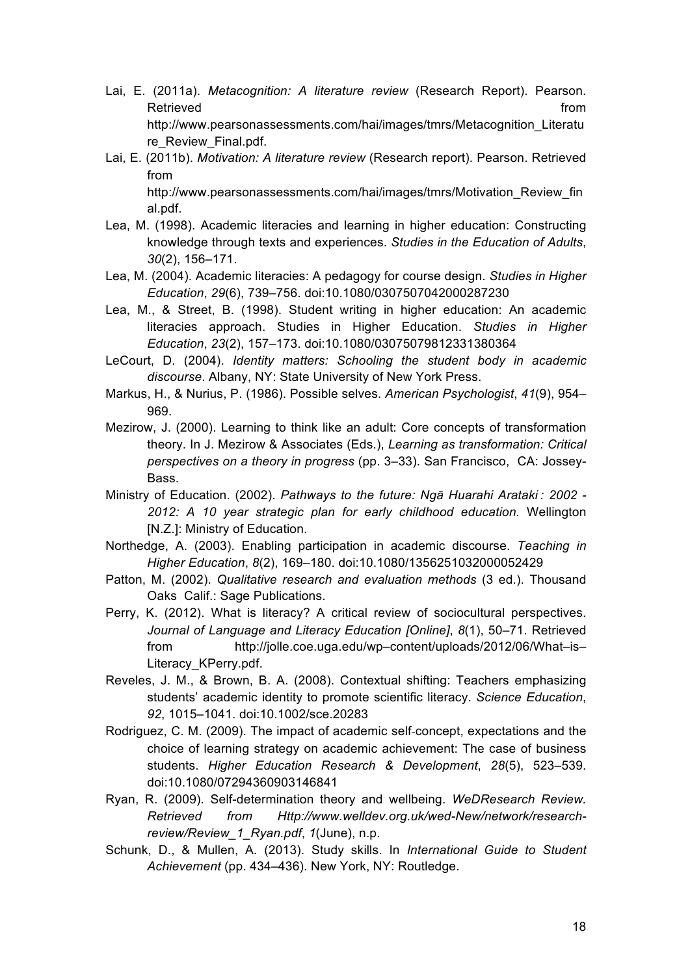- Lai, E. (2011a). *Metacognition: A literature review* (Research Report). Pearson. Retrieved **from** the contract of the contract of the contract of the contract of the contract of the contract of the contract of the contract of the contract of the contract of the contract of the contract of the contract http://www.pearsonassessments.com/hai/images/tmrs/Metacognition\_Literatu re Review Final.pdf.
- Lai, E. (2011b). *Motivation: A literature review* (Research report). Pearson. Retrieved from

http://www.pearsonassessments.com/hai/images/tmrs/Motivation\_Review\_fin al.pdf.

- Lea, M. (1998). Academic literacies and learning in higher education: Constructing knowledge through texts and experiences. *Studies in the Education of Adults*, *30*(2), 156–171.
- Lea, M. (2004). Academic literacies: A pedagogy for course design. *Studies in Higher Education*, *29*(6), 739–756. doi:10.1080/0307507042000287230
- Lea, M., & Street, B. (1998). Student writing in higher education: An academic literacies approach. Studies in Higher Education. *Studies in Higher Education*, *23*(2), 157–173. doi:10.1080/03075079812331380364
- LeCourt, D. (2004). *Identity matters: Schooling the student body in academic discourse*. Albany, NY: State University of New York Press.
- Markus, H., & Nurius, P. (1986). Possible selves. *American Psychologist*, *41*(9), 954– 969.
- Mezirow, J. (2000). Learning to think like an adult: Core concepts of transformation theory. In J. Mezirow & Associates (Eds.), *Learning as transformation: Critical perspectives on a theory in progress* (pp. 3–33). San Francisco, CA: Jossey-Bass.
- Ministry of Education. (2002). *Pathways to the future: Ngā Huarahi Arataki : 2002 - 2012: A 10 year strategic plan for early childhood education.* Wellington [N.Z.]: Ministry of Education.
- Northedge, A. (2003). Enabling participation in academic discourse. *Teaching in Higher Education*, *8*(2), 169–180. doi:10.1080/1356251032000052429
- Patton, M. (2002). *Qualitative research and evaluation methods* (3 ed.). Thousand Oaks Calif.: Sage Publications.
- Perry, K. (2012). What is literacy? A critical review of sociocultural perspectives. *Journal of Language and Literacy Education [Online]*, *8*(1), 50–71. Retrieved from http://jolle.coe.uga.edu/wp–content/uploads/2012/06/What–is– Literacy\_KPerry.pdf.
- Reveles, J. M., & Brown, B. A. (2008). Contextual shifting: Teachers emphasizing students' academic identity to promote scientific literacy. *Science Education*, *92*, 1015–1041. doi:10.1002/sce.20283
- Rodriguez, C. M. (2009). The impact of academic self‐concept, expectations and the choice of learning strategy on academic achievement: The case of business students. *Higher Education Research & Development*, *28*(5), 523–539. doi:10.1080/07294360903146841
- Ryan, R. (2009). Self-determination theory and wellbeing. *WeDResearch Review.*  Retrieved from Http://www.welldev.org.uk/wed-New/network/research*review/Review\_1\_Ryan.pdf*, *1*(June), n.p.
- Schunk, D., & Mullen, A. (2013). Study skills. In *International Guide to Student Achievement* (pp. 434–436). New York, NY: Routledge.